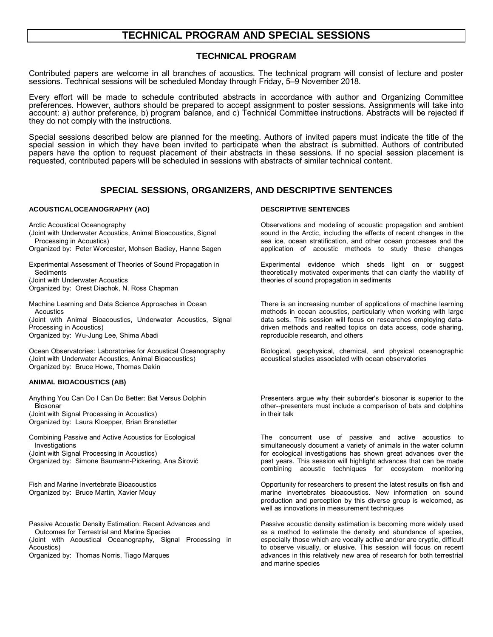# **TECHNICAL PROGRAM AND SPECIAL SESSIONS**

## **TECHNICAL PROGRAM**

Contributed papers are welcome in all branches of acoustics. The technical program will consist of lecture and poster sessions. Technical sessions will be scheduled Monday through Friday, 5–9 November 2018.

Every effort will be made to schedule contributed abstracts in accordance with author and Organizing Committee preferences. However, authors should be prepared to accept assignment to poster sessions. Assignments will take into account: a) author preference, b) program balance, and c) Technical Committee instructions. Abstracts will be rejected if they do not comply with the instructions.

Special sessions described below are planned for the meeting. Authors of invited papers must indicate the title of the special session in which they have been invited to participate when the abstract is submitted. Authors of contributed papers have the option to request placement of their abstracts in these sessions. If no special session placement is requested, contributed papers will be scheduled in sessions with abstracts of similar technical content.

## **SPECIAL SESSIONS, ORGANIZERS, AND DESCRIPTIVE SENTENCES**

### **ACOUSTICALOCEANOGRAPHY (AO) DESCRIPTIVE SENTENCES**

Arctic Acoustical Oceanography

- (Joint with Underwater Acoustics, Animal Bioacoustics, Signal Processing in Acoustics)
- Organized by: Peter Worcester, Mohsen Badiey, Hanne Sagen

Experimental Assessment of Theories of Sound Propagation in **Sediments** (Joint with Underwater Acoustics

Organized by: Orest Diachok, N. Ross Chapman

Machine Learning and Data Science Approaches in Ocean Acoustics (Joint with Animal Bioacoustics, Underwater Acoustics, Signal Processing in Acoustics)

Organized by: Wu-Jung Lee, Shima Abadi

Ocean Observatories: Laboratories for Acoustical Oceanography (Joint with Underwater Acoustics, Animal Bioacoustics) Organized by: Bruce Howe, Thomas Dakin

### **ANIMAL BIOACOUSTICS (AB)**

Anything You Can Do I Can Do Better: Bat Versus Dolphin **Biosonar** (Joint with Signal Processing in Acoustics) Organized by: Laura Kloepper, Brian Branstetter

Combining Passive and Active Acoustics for Ecological Investigations (Joint with Signal Processing in Acoustics) Organized by: Simone Baumann-Pickering, Ana Širović

Fish and Marine Invertebrate Bioacoustics Organized by: Bruce Martin, Xavier Mouy

Passive Acoustic Density Estimation: Recent Advances and Outcomes for Terrestrial and Marine Species (Joint with Acoustical Oceanography, Signal Processing in Acoustics)

Organized by: Thomas Norris, Tiago Marques

Observations and modeling of acoustic propagation and ambient sound in the Arctic, including the effects of recent changes in the sea ice, ocean stratification, and other ocean processes and the application of acoustic methods to study these changes

Experimental evidence which sheds light on or suggest theoretically motivated experiments that can clarify the viability of theories of sound propagation in sediments

There is an increasing number of applications of machine learning methods in ocean acoustics, particularly when working with large data sets. This session will focus on researches employing datadriven methods and realted topics on data access, code sharing, reproducible research, and others

Biological, geophysical, chemical, and physical oceanographic acoustical studies associated with ocean observatories

Presenters argue why their suborder's biosonar is superior to the other--presenters must include a comparison of bats and dolphins in their talk

The concurrent use of passive and active acoustics to simultaneously document a variety of animals in the water column for ecological investigations has shown great advances over the past years. This session will highlight advances that can be made combining acoustic techniques for ecosystem monitoring

Opportunity for researchers to present the latest results on fish and marine invertebrates bioacoustics. New information on sound production and perception by this diverse group is welcomed, as well as innovations in measurement techniques

Passive acoustic density estimation is becoming more widely used as a method to estimate the density and abundance of species, especially those which are vocally active and/or are cryptic, difficult to observe visually, or elusive. This session will focus on recent advances in this relatively new area of research for both terrestrial and marine species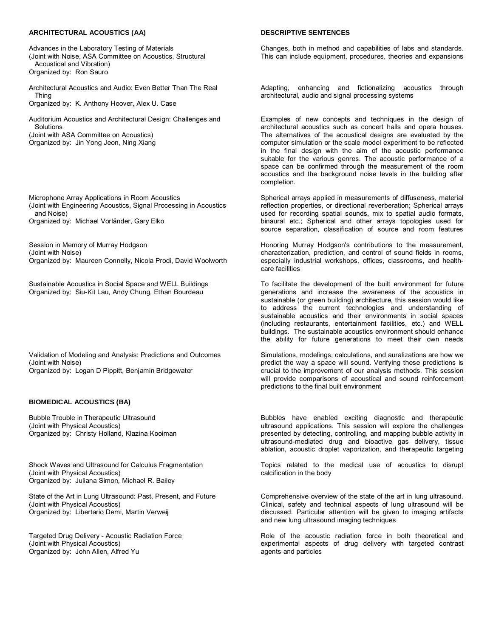### **ARCHITECTURAL ACOUSTICS (AA) DESCRIPTIVE SENTENCES**

Advances in the Laboratory Testing of Materials (Joint with Noise, ASA Committee on Acoustics, Structural Acoustical and Vibration) Organized by: Ron Sauro

Architectural Acoustics and Audio: Even Better Than The Real Thing Organized by: K. Anthony Hoover, Alex U. Case

Auditorium Acoustics and Architectural Design: Challenges and Solutions (Joint with ASA Committee on Acoustics) Organized by: Jin Yong Jeon, Ning Xiang

Microphone Array Applications in Room Acoustics (Joint with Engineering Acoustics, Signal Processing in Acoustics and Noise) Organized by: Michael Vorländer, Gary Elko

Session in Memory of Murray Hodgson (Joint with Noise) Organized by: Maureen Connelly, Nicola Prodi, David Woolworth

Sustainable Acoustics in Social Space and WELL Buildings Organized by: Siu-Kit Lau, Andy Chung, Ethan Bourdeau

Validation of Modeling and Analysis: Predictions and Outcomes (Joint with Noise) Organized by: Logan D Pippitt, Benjamin Bridgewater

### **BIOMEDICAL ACOUSTICS (BA)**

Bubble Trouble in Therapeutic Ultrasound (Joint with Physical Acoustics) Organized by: Christy Holland, Klazina Kooiman

Shock Waves and Ultrasound for Calculus Fragmentation (Joint with Physical Acoustics) Organized by: Juliana Simon, Michael R. Bailey

State of the Art in Lung Ultrasound: Past, Present, and Future (Joint with Physical Acoustics) Organized by: Libertario Demi, Martin Verweij

Targeted Drug Delivery - Acoustic Radiation Force (Joint with Physical Acoustics) Organized by: John Allen, Alfred Yu

Changes, both in method and capabilities of labs and standards. This can include equipment, procedures, theories and expansions

Adapting, enhancing and fictionalizing acoustics through architectural, audio and signal processing systems

Examples of new concepts and techniques in the design of architectural acoustics such as concert halls and opera houses. The alternatives of the acoustical designs are evaluated by the computer simulation or the scale model experiment to be reflected in the final design with the aim of the acoustic performance suitable for the various genres. The acoustic performance of a space can be confirmed through the measurement of the room acoustics and the background noise levels in the building after completion.

Spherical arrays applied in measurements of diffuseness, material reflection properties, or directional reverberation; Spherical arrays used for recording spatial sounds, mix to spatial audio formats, binaural etc.; Spherical and other arrays topologies used for source separation, classification of source and room features

Honoring Murray Hodgson's contributions to the measurement, characterization, prediction, and control of sound fields in rooms, especially industrial workshops, offices, classrooms, and healthcare facilities

To facilitate the development of the built environment for future generations and increase the awareness of the acoustics in sustainable (or green building) architecture, this session would like to address the current technologies and understanding of sustainable acoustics and their environments in social spaces (including restaurants, entertainment facilities, etc.) and WELL buildings. The sustainable acoustics environment should enhance the ability for future generations to meet their own needs

Simulations, modelings, calculations, and auralizations are how we predict the way a space will sound. Verifying these predictions is crucial to the improvement of our analysis methods. This session will provide comparisons of acoustical and sound reinforcement predictions to the final built environment

Bubbles have enabled exciting diagnostic and therapeutic ultrasound applications. This session will explore the challenges presented by detecting, controlling, and mapping bubble activity in ultrasound-mediated drug and bioactive gas delivery, tissue ablation, acoustic droplet vaporization, and therapeutic targeting

Topics related to the medical use of acoustics to disrupt calcification in the body

Comprehensive overview of the state of the art in lung ultrasound. Clinical, safety and technical aspects of lung ultrasound will be discussed. Particular attention will be given to imaging artifacts and new lung ultrasound imaging techniques

Role of the acoustic radiation force in both theoretical and experimental aspects of drug delivery with targeted contrast agents and particles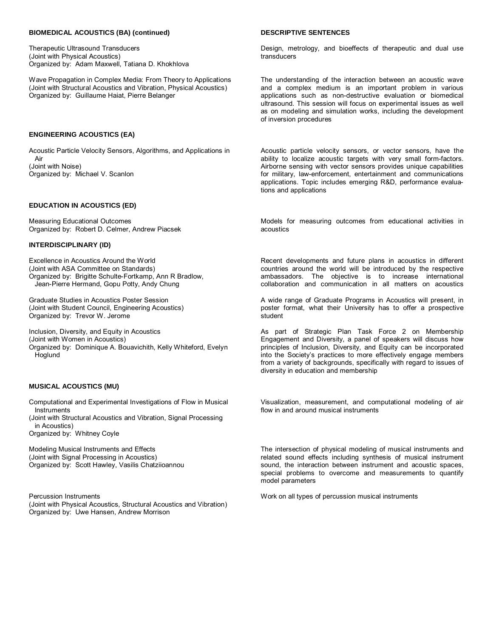### **BIOMEDICAL ACOUSTICS (BA) (continued) DESCRIPTIVE SENTENCES**

Therapeutic Ultrasound Transducers (Joint with Physical Acoustics) Organized by: Adam Maxwell, Tatiana D. Khokhlova

Wave Propagation in Complex Media: From Theory to Applications (Joint with Structural Acoustics and Vibration, Physical Acoustics) Organized by: Guillaume Haiat, Pierre Belanger

### **ENGINEERING ACOUSTICS (EA)**

Acoustic Particle Velocity Sensors, Algorithms, and Applications in Air (Joint with Noise) Organized by: Michael V. Scanlon

### **EDUCATION IN ACOUSTICS (ED)**

Measuring Educational Outcomes Organized by: Robert D. Celmer, Andrew Piacsek

### **INTERDISCIPLINARY (ID)**

Excellence in Acoustics Around the World (Joint with ASA Committee on Standards) Organized by: Brigitte Schulte-Fortkamp, Ann R Bradlow, Jean-Pierre Hermand, Gopu Potty, Andy Chung

Graduate Studies in Acoustics Poster Session (Joint with Student Council, Engineering Acoustics) Organized by: Trevor W. Jerome

Inclusion, Diversity, and Equity in Acoustics (Joint with Women in Acoustics) Organized by: Dominique A. Bouavichith, Kelly Whiteford, Evelyn Hoglund

### **MUSICAL ACOUSTICS (MU)**

Computational and Experimental Investigations of Flow in Musical **Instruments** (Joint with Structural Acoustics and Vibration, Signal Processing in Acoustics)

Organized by: Whitney Coyle

Modeling Musical Instruments and Effects (Joint with Signal Processing in Acoustics) Organized by: Scott Hawley, Vasilis Chatziioannou

Percussion Instruments (Joint with Physical Acoustics, Structural Acoustics and Vibration) Organized by: Uwe Hansen, Andrew Morrison

Design, metrology, and bioeffects of therapeutic and dual use transducers

The understanding of the interaction between an acoustic wave and a complex medium is an important problem in various applications such as non-destructive evaluation or biomedical ultrasound. This session will focus on experimental issues as well as on modeling and simulation works, including the development of inversion procedures

Acoustic particle velocity sensors, or vector sensors, have the ability to localize acoustic targets with very small form-factors. Airborne sensing with vector sensors provides unique capabilities for military, law-enforcement, entertainment and communications applications. Topic includes emerging R&D, performance evaluations and applications

Models for measuring outcomes from educational activities in acoustics

Recent developments and future plans in acoustics in different countries around the world will be introduced by the respective ambassadors. The objective is to increase international collaboration and communication in all matters on acoustics

A wide range of Graduate Programs in Acoustics will present, in poster format, what their University has to offer a prospective student

As part of Strategic Plan Task Force 2 on Membership Engagement and Diversity, a panel of speakers will discuss how principles of Inclusion, Diversity, and Equity can be incorporated into the Society's practices to more effectively engage members from a variety of backgrounds, specifically with regard to issues of diversity in education and membership

Visualization, measurement, and computational modeling of air flow in and around musical instruments

The intersection of physical modeling of musical instruments and related sound effects including synthesis of musical instrument sound, the interaction between instrument and acoustic spaces, special problems to overcome and measurements to quantify model parameters

Work on all types of percussion musical instruments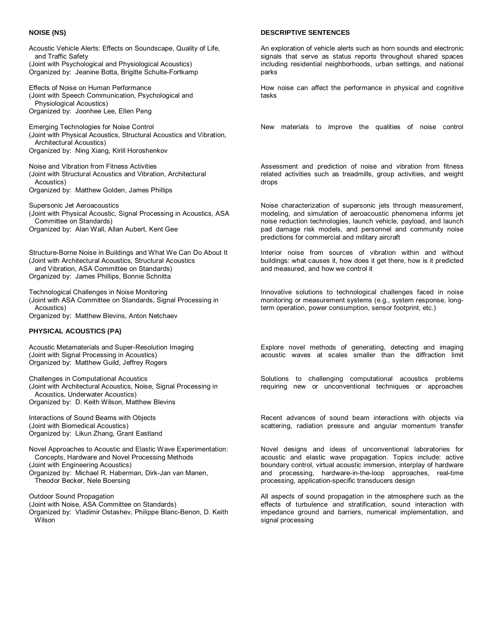Acoustic Vehicle Alerts: Effects on Soundscape, Quality of Life, and Traffic Safety (Joint with Psychological and Physiological Acoustics) Organized by: Jeanine Botta, Brigitte Schulte-Fortkamp

Effects of Noise on Human Performance (Joint with Speech Communication, Psychological and Physiological Acoustics) Organized by: Joonhee Lee, Ellen Peng

Emerging Technologies for Noise Control (Joint with Physical Acoustics, Structural Acoustics and Vibration, Architectural Acoustics) Organized by: Ning Xiang, Kirill Horoshenkov

Noise and Vibration from Fitness Activities (Joint with Structural Acoustics and Vibration, Architectural Acoustics)

Organized by: Matthew Golden, James Phillips

Supersonic Jet Aeroacoustics (Joint with Physical Acoustic, Signal Processing in Acoustics, ASA Committee on Standards) Organized by: Alan Wall, Allan Aubert, Kent Gee

Structure-Borne Noise in Buildings and What We Can Do About It (Joint with Architectural Acoustics, Structural Acoustics and Vibration, ASA Committee on Standards) Organized by: James Phillips, Bonnie Schnitta

Technological Challenges in Noise Monitoring (Joint with ASA Committee on Standards, Signal Processing in Acoustics) Organized by: Matthew Blevins, Anton Netchaev

### **PHYSICAL ACOUSTICS (PA)**

Acoustic Metamaterials and Super-Resolution Imaging (Joint with Signal Processing in Acoustics) Organized by: Matthew Guild, Jeffrey Rogers

Challenges in Computational Acoustics (Joint with Architectural Acoustics, Noise, Signal Processing in Acoustics, Underwater Acoustics) Organized by: D. Keith Wilson, Matthew Blevins

Interactions of Sound Beams with Objects (Joint with Biomedical Acoustics) Organized by: Likun Zhang, Grant Eastland

Novel Approaches to Acoustic and Elastic Wave Experimentation: Concepts, Hardware and Novel Processing Methods (Joint with Engineering Acoustics) Organized by: Michael R. Haberman, Dirk-Jan van Manen,

Theodor Becker, Nele Boersing

Outdoor Sound Propagation (Joint with Noise, ASA Committee on Standards) Organized by: Vladimir Ostashev, Philippe Blanc-Benon, D. Keith **Wilson** 

### **NOISE (NS) DESCRIPTIVE SENTENCES**

An exploration of vehicle alerts such as horn sounds and electronic signals that serve as status reports throughout shared spaces including residential neighborhoods, urban settings, and national parks

How noise can affect the performance in physical and cognitive tasks

New materials to improve the qualities of noise control

Assessment and prediction of noise and vibration from fitness related activities such as treadmills, group activities, and weight drops

Noise characterization of supersonic jets through measurement, modeling, and simulation of aeroacoustic phenomena informs jet noise reduction technologies, launch vehicle, payload, and launch pad damage risk models, and personnel and community noise predictions for commercial and military aircraft

Interior noise from sources of vibration within and without buildings: what causes it, how does it get there, how is it predicted and measured, and how we control it

Innovative solutions to technological challenges faced in noise monitoring or measurement systems (e.g., system response, longterm operation, power consumption, sensor footprint, etc.)

Explore novel methods of generating, detecting and imaging acoustic waves at scales smaller than the diffraction limit

Solutions to challenging computational acoustics problems requiring new or unconventional techniques or approaches

Recent advances of sound beam interactions with objects via scattering, radiation pressure and angular momentum transfer

Novel designs and ideas of unconventional laboratories for acoustic and elastic wave propagation. Topics include: active boundary control, virtual acoustic immersion, interplay of hardware and processing, hardware-in-the-loop approaches, real-time processing, application-specific transducers design

All aspects of sound propagation in the atmosphere such as the effects of turbulence and stratification, sound interaction with impedance ground and barriers, numerical implementation, and signal processing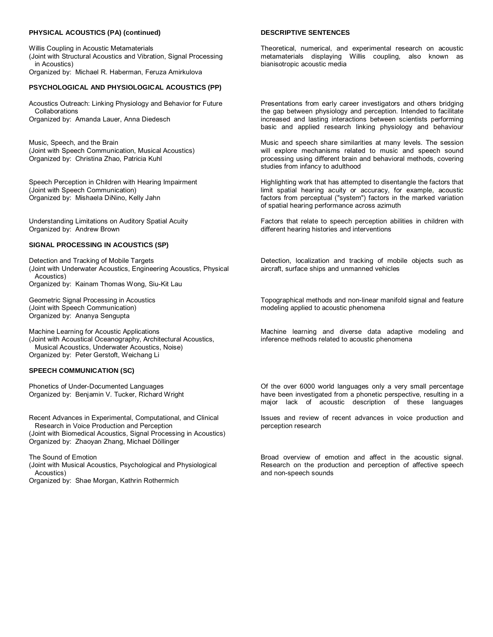### **PHYSICAL ACOUSTICS (PA) (continued)**

Willis Coupling in Acoustic Metamaterials (Joint with Structural Acoustics and Vibration, Signal Processing in Acoustics) Organized by: Michael R. Haberman, Feruza Amirkulova

### **PSYCHOLOGICAL AND PHYSIOLOGICAL ACOUSTICS (PP)**

Acoustics Outreach: Linking Physiology and Behavior for Future Collaborations Organized by: Amanda Lauer, Anna Diedesch

Music, Speech, and the Brain (Joint with Speech Communication, Musical Acoustics) Organized by: Christina Zhao, Patricia Kuhl

Speech Perception in Children with Hearing Impairment (Joint with Speech Communication) Organized by: Mishaela DiNino, Kelly Jahn

Understanding Limitations on Auditory Spatial Acuity Organized by: Andrew Brown

### **SIGNAL PROCESSING IN ACOUSTICS (SP)**

Detection and Tracking of Mobile Targets (Joint with Underwater Acoustics, Engineering Acoustics, Physical Acoustics) Organized by: Kainam Thomas Wong, Siu-Kit Lau

Geometric Signal Processing in Acoustics (Joint with Speech Communication) Organized by: Ananya Sengupta

Machine Learning for Acoustic Applications (Joint with Acoustical Oceanography, Architectural Acoustics, Musical Acoustics, Underwater Acoustics, Noise) Organized by: Peter Gerstoft, Weichang Li

### **SPEECH COMMUNICATION (SC)**

Phonetics of Under-Documented Languages Organized by: Benjamin V. Tucker, Richard Wright

Recent Advances in Experimental, Computational, and Clinical Research in Voice Production and Perception (Joint with Biomedical Acoustics, Signal Processing in Acoustics) Organized by: Zhaoyan Zhang, Michael Döllinger

The Sound of Emotion (Joint with Musical Acoustics, Psychological and Physiological Acoustics) Organized by: Shae Morgan, Kathrin Rothermich

### **DESCRIPTIVE SENTENCES**

Theoretical, numerical, and experimental research on acoustic metamaterials displaying Willis coupling, also known as bianisotropic acoustic media

Presentations from early career investigators and others bridging the gap between physiology and perception. Intended to facilitate increased and lasting interactions between scientists performing basic and applied research linking physiology and behaviour

Music and speech share similarities at many levels. The session will explore mechanisms related to music and speech sound processing using different brain and behavioral methods, covering studies from infancy to adulthood

Highlighting work that has attempted to disentangle the factors that limit spatial hearing acuity or accuracy, for example, acoustic factors from perceptual ("system") factors in the marked variation of spatial hearing performance across azimuth

Factors that relate to speech perception abilities in children with different hearing histories and interventions

Detection, localization and tracking of mobile objects such as aircraft, surface ships and unmanned vehicles

Topographical methods and non-linear manifold signal and feature modeling applied to acoustic phenomena

Machine learning and diverse data adaptive modeling and inference methods related to acoustic phenomena

Of the over 6000 world languages only a very small percentage have been investigated from a phonetic perspective, resulting in a major lack of acoustic description of these languages

Issues and review of recent advances in voice production and perception research

Broad overview of emotion and affect in the acoustic signal. Research on the production and perception of affective speech and non-speech sounds